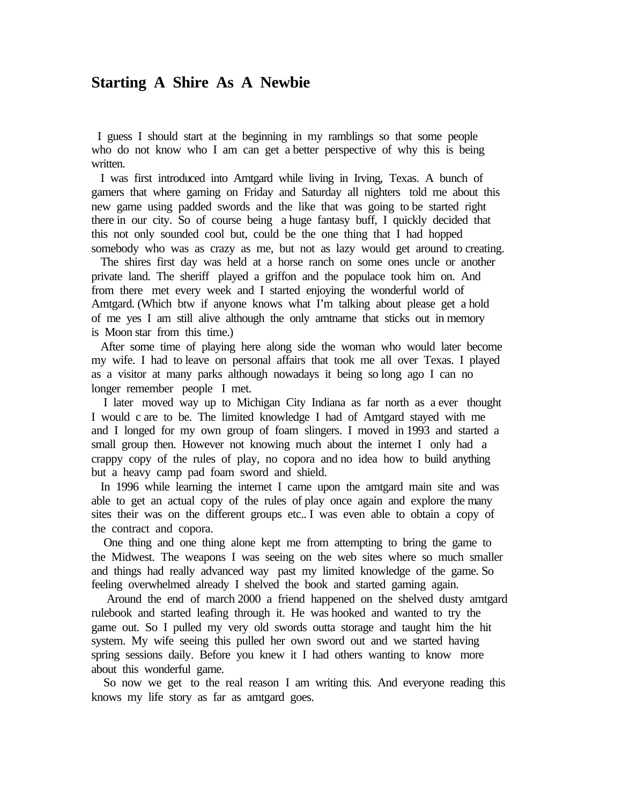## **Starting A Shire As A Newbie**

 I guess I should start at the beginning in my ramblings so that some people who do not know who I am can get a better perspective of why this is being written.

 I was first introduced into Amtgard while living in Irving, Texas. A bunch of gamers that where gaming on Friday and Saturday all nighters told me about this new game using padded swords and the like that was going to be started right there in our city. So of course being a huge fantasy buff, I quickly decided that this not only sounded cool but, could be the one thing that I had hopped somebody who was as crazy as me, but not as lazy would get around to creating.

 The shires first day was held at a horse ranch on some ones uncle or another private land. The sheriff played a griffon and the populace took him on. And from there met every week and I started enjoying the wonderful world of Amtgard. (Which btw if anyone knows what I'm talking about please get a hold of me yes I am still alive although the only amtname that sticks out in memory is Moon star from this time.)

 After some time of playing here along side the woman who would later become my wife. I had to leave on personal affairs that took me all over Texas. I played as a visitor at many parks although nowadays it being so long ago I can no longer remember people I met.

 I later moved way up to Michigan City Indiana as far north as a ever thought I would c are to be. The limited knowledge I had of Amtgard stayed with me and I longed for my own group of foam slingers. I moved in 1993 and started a small group then. However not knowing much about the internet I only had a crappy copy of the rules of play, no copora and no idea how to build anything but a heavy camp pad foam sword and shield.

 In 1996 while learning the internet I came upon the amtgard main site and was able to get an actual copy of the rules of play once again and explore the many sites their was on the different groups etc.. I was even able to obtain a copy of the contract and copora.

 One thing and one thing alone kept me from attempting to bring the game to the Midwest. The weapons I was seeing on the web sites where so much smaller and things had really advanced way past my limited knowledge of the game. So feeling overwhelmed already I shelved the book and started gaming again.

 Around the end of march 2000 a friend happened on the shelved dusty amtgard rulebook and started leafing through it. He was hooked and wanted to try the game out. So I pulled my very old swords outta storage and taught him the hit system. My wife seeing this pulled her own sword out and we started having spring sessions daily. Before you knew it I had others wanting to know more about this wonderful game.

 So now we get to the real reason I am writing this. And everyone reading this knows my life story as far as amtgard goes.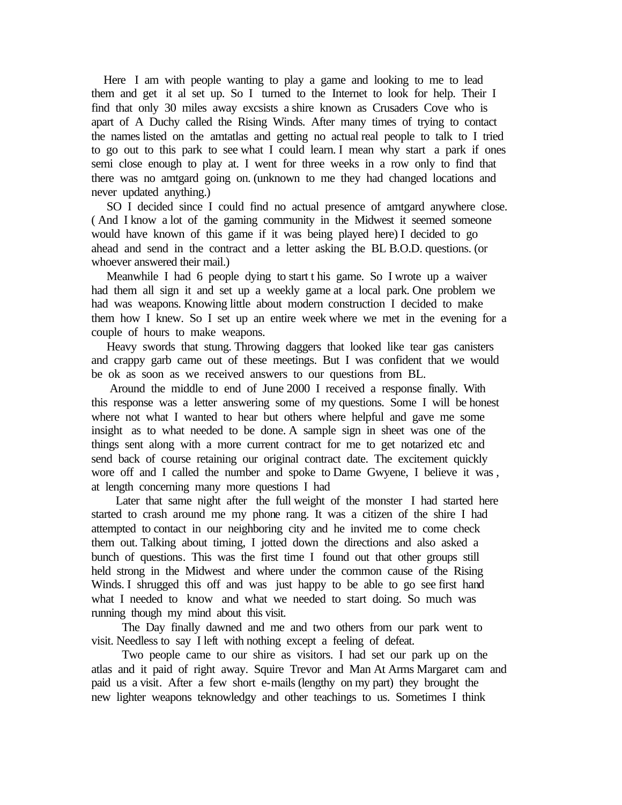Here I am with people wanting to play a game and looking to me to lead them and get it al set up. So I turned to the Internet to look for help. Their I find that only 30 miles away excsists a shire known as Crusaders Cove who is apart of A Duchy called the Rising Winds. After many times of trying to contact the names listed on the amtatlas and getting no actual real people to talk to I tried to go out to this park to see what I could learn. I mean why start a park if ones semi close enough to play at. I went for three weeks in a row only to find that there was no amtgard going on. (unknown to me they had changed locations and never updated anything.)

 SO I decided since I could find no actual presence of amtgard anywhere close. ( And I know a lot of the gaming community in the Midwest it seemed someone would have known of this game if it was being played here) I decided to go ahead and send in the contract and a letter asking the BL B.O.D. questions. (or whoever answered their mail.)

 Meanwhile I had 6 people dying to start t his game. So I wrote up a waiver had them all sign it and set up a weekly game at a local park. One problem we had was weapons. Knowing little about modern construction I decided to make them how I knew. So I set up an entire week where we met in the evening for a couple of hours to make weapons.

 Heavy swords that stung. Throwing daggers that looked like tear gas canisters and crappy garb came out of these meetings. But I was confident that we would be ok as soon as we received answers to our questions from BL.

 Around the middle to end of June 2000 I received a response finally. With this response was a letter answering some of my questions. Some I will be honest where not what I wanted to hear but others where helpful and gave me some insight as to what needed to be done. A sample sign in sheet was one of the things sent along with a more current contract for me to get notarized etc and send back of course retaining our original contract date. The excitement quickly wore off and I called the number and spoke to Dame Gwyene, I believe it was , at length concerning many more questions I had

 Later that same night after the full weight of the monster I had started here started to crash around me my phone rang. It was a citizen of the shire I had attempted to contact in our neighboring city and he invited me to come check them out. Talking about timing, I jotted down the directions and also asked a bunch of questions. This was the first time I found out that other groups still held strong in the Midwest and where under the common cause of the Rising Winds. I shrugged this off and was just happy to be able to go see first hand what I needed to know and what we needed to start doing. So much was running though my mind about this visit.

 The Day finally dawned and me and two others from our park went to visit. Needless to say I left with nothing except a feeling of defeat.

 Two people came to our shire as visitors. I had set our park up on the atlas and it paid of right away. Squire Trevor and Man At Arms Margaret cam and paid us a visit. After a few short e-mails (lengthy on my part) they brought the new lighter weapons teknowledgy and other teachings to us. Sometimes I think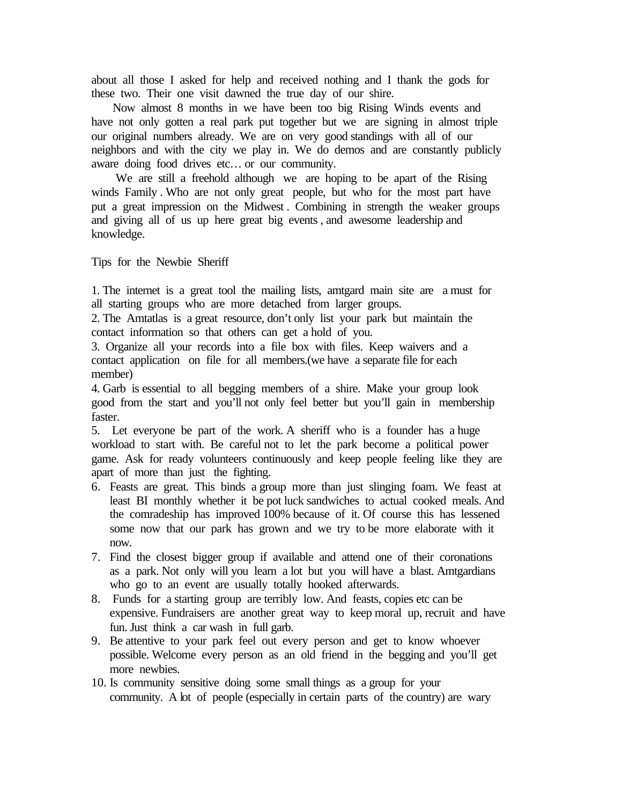about all those I asked for help and received nothing and I thank the gods for these two. Their one visit dawned the true day of our shire.

 Now almost 8 months in we have been too big Rising Winds events and have not only gotten a real park put together but we are signing in almost triple our original numbers already. We are on very good standings with all of our neighbors and with the city we play in. We do demos and are constantly publicly aware doing food drives etc… or our community.

 We are still a freehold although we are hoping to be apart of the Rising winds Family . Who are not only great people, but who for the most part have put a great impression on the Midwest . Combining in strength the weaker groups and giving all of us up here great big events , and awesome leadership and knowledge.

Tips for the Newbie Sheriff

1. The internet is a great tool the mailing lists, amtgard main site are a must for all starting groups who are more detached from larger groups.

2. The Amtatlas is a great resource, don't only list your park but maintain the contact information so that others can get a hold of you.

3. Organize all your records into a file box with files. Keep waivers and a contact application on file for all members.(we have a separate file for each member)

4. Garb is essential to all begging members of a shire. Make your group look good from the start and you'll not only feel better but you'll gain in membership faster.

5. Let everyone be part of the work. A sheriff who is a founder has a huge workload to start with. Be careful not to let the park become a political power game. Ask for ready volunteers continuously and keep people feeling like they are apart of more than just the fighting.

- 6. Feasts are great. This binds a group more than just slinging foam. We feast at least BI monthly whether it be pot luck sandwiches to actual cooked meals. And the comradeship has improved 100% because of it. Of course this has lessened some now that our park has grown and we try to be more elaborate with it now.
- 7. Find the closest bigger group if available and attend one of their coronations as a park. Not only will you learn a lot but you will have a blast. Amtgardians who go to an event are usually totally hooked afterwards.
- 8. Funds for a starting group are terribly low. And feasts, copies etc can be expensive. Fundraisers are another great way to keep moral up, recruit and have fun. Just think a car wash in full garb.
- 9. Be attentive to your park feel out every person and get to know whoever possible. Welcome every person as an old friend in the begging and you'll get more newbies.
- 10. Is community sensitive doing some small things as a group for your community. A lot of people (especially in certain parts of the country) are wary